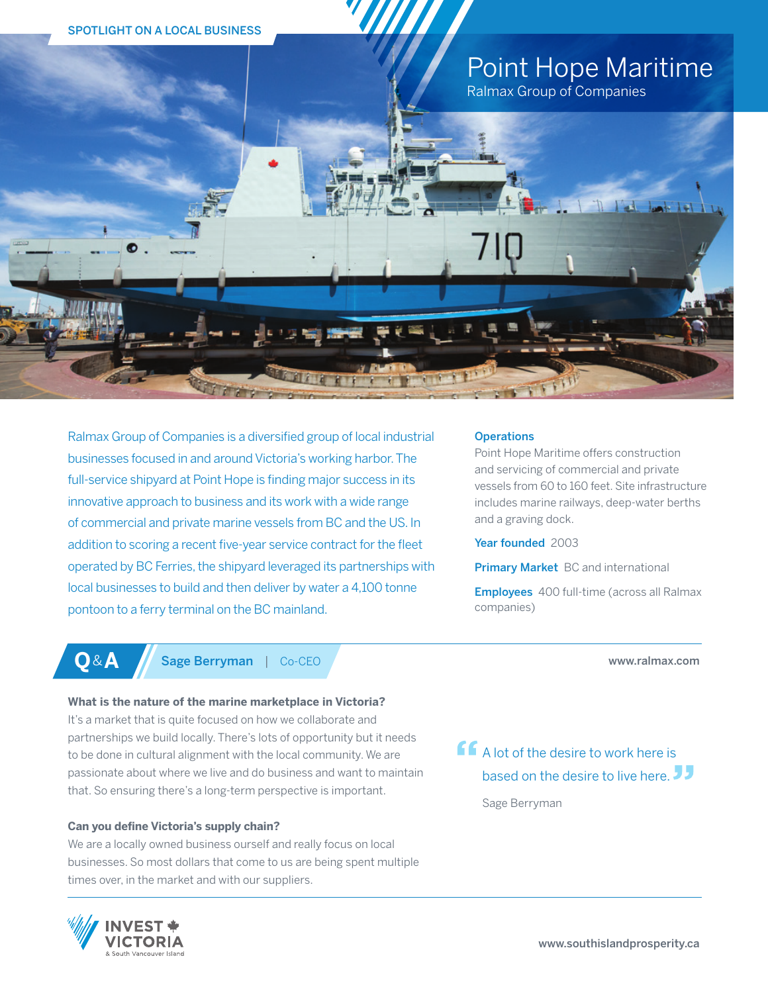

Ralmax Group of Companies is a diversified group of local industrial businesses focused in and around Victoria's working harbor. The full-service shipyard at Point Hope is finding major success in its innovative approach to business and its work with a wide range of commercial and private marine vessels from BC and the US. In addition to scoring a recent five-year service contract for the fleet operated by BC Ferries, the shipyard leveraged its partnerships with local businesses to build and then deliver by water a 4,100 tonne pontoon to a ferry terminal on the BC mainland.

### **Operations**

Point Hope Maritime offers construction and servicing of commercial and private vessels from 60 to 160 feet. Site infrastructure includes marine railways, deep-water berths and a graving dock.

Year founded 2003

**Primary Market** BC and international

Employees 400 full-time (across all Ralmax companies)

### www.ralmax.com

**Q**&**A** Sage Berryman | Co-CEO

# **What is the nature of the marine marketplace in Victoria?**

It's a market that is quite focused on how we collaborate and partnerships we build locally. There's lots of opportunity but it needs to be done in cultural alignment with the local community. We are passionate about where we live and do business and want to maintain that. So ensuring there's a long-term perspective is important.

# **Can you define Victoria's supply chain?**

We are a locally owned business ourself and really focus on local businesses. So most dollars that come to us are being spent multiple times over, in the market and with our suppliers.



**A** lot of the desire to work here is based on the desire to live here. JJ

Sage Berryman